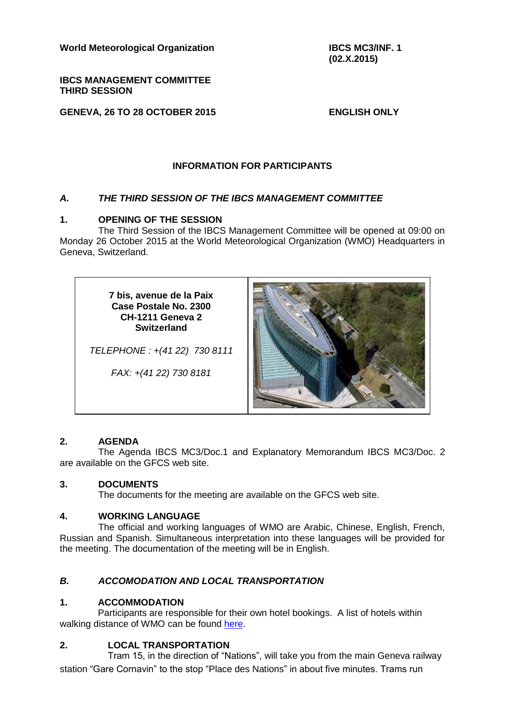**World Meteorological Organization**

**IBCS MANAGEMENT COMMITTEE THIRD SESSION**

**GENEVA, 26 TO 28 OCTOBER 2015**

**ENGLISH ONLY**

# **INFORMATION FOR PARTICIPANTS**

## *A. THE THIRD SESSION OF THE IBCS MANAGEMENT COMMITTEE*

### **1. OPENING OF THE SESSION**

The Third Session of the IBCS Management Committee will be opened at 09:00 on Monday 26 October 2015 at the World Meteorological Organization (WMO) Headquarters in Geneva, Switzerland.

> **7 bis, avenue de la Paix Case Postale No. 2300 CH-1211 Geneva 2 Switzerland**

*TELEPHONE : +(41 22) 730 8111*

*FAX: +(41 22) 730 8181*



### **2. AGENDA**

The Agenda IBCS MC3/Doc.1 and Explanatory Memorandum IBCS MC3/Doc. 2 are available on the GFCS web site.

#### **3. DOCUMENTS**

The documents for the meeting are available on the GFCS web site.

### **4. WORKING LANGUAGE**

The official and working languages of WMO are Arabic, Chinese, English, French, Russian and Spanish. Simultaneous interpretation into these languages will be provided for the meeting. The documentation of the meeting will be in English.

### *B. ACCOMODATION AND LOCAL TRANSPORTATION*

### **1. ACCOMMODATION**

Participants are responsible for their own hotel bookings. A list of hotels within walking distance of WMO can be found [here.](https://drive.google.com/file/d/0B4Q7U9wOw6IrZE1GM2U5OXJZUkU)

### **2. LOCAL TRANSPORTATION**

Tram 15, in the direction of "Nations", will take you from the main Geneva railway station "Gare Cornavin" to the stop "Place des Nations" in about five minutes. Trams run